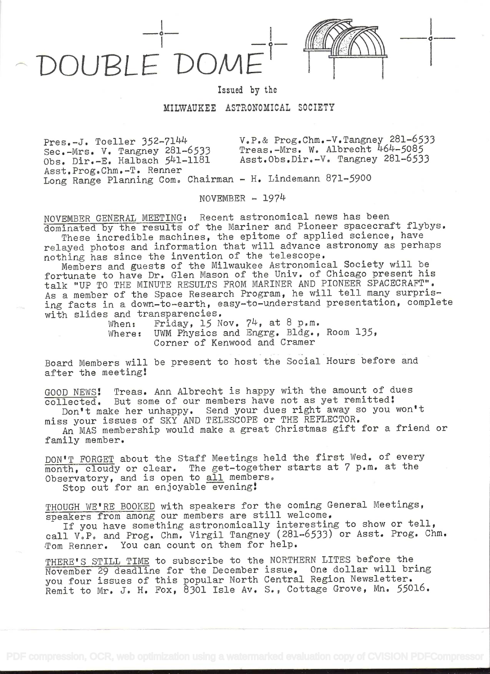## DOUBLE DOM.

i kacamatan ing Kabupatén Kabupatén Kabupatén Kabupatén Kabupatén Kabupatén Kabupatén Kabupatén Kabupatén Kabu

Issued by the

MILWAUKEE ASTRONOMICAL SOCIETY

 $Press.-J. Toeller 352-7144$ Sec.-Mrs. V. Tangney 281-6533 Obs. Dir.-E. Halbach 541-1181 Asst.Prog.Chm.-T. Renner  $V_{\bullet}P_{\bullet}$ & Prog.Chm.-V.Tangney 281-6533 Treas.-Mrs. W. Albrecht 464-5085 Asst.Obs.Dir.-V. Tangney 281-6533 Long Range Planning Com. Chairman - H. Lindemann 871-5900

 $NOVEMBER - 1974$ 

NOVEMBER GENERAL MEETING: Recent astronomical news has been dominated by the results of the Mariner and Pioneer spacecraft flybys. These incredible machines, the epitome of applied science, have relayed photos and information that will advance astronomy as perhaps

nothing has since the invention of the telescope. Members and guests of the Milwaukee Astronomical Society will be fortunate to have Dr. Glen Mason of the Univ. of Chicago present his talk "UP TO THE MINUTE RESULTS FROM MARINER AND PIONEER SPACECRAFT". As a member of the Space Research Program, he will tell many surprising facts in a down-to-earth, easy-to-understand presentation, complete

with slides and transparencies.<br>When: Friday, 15 N When: Friday, 15 Nov.  $74$ , at 8 p.m.<br>Where: UWM Physics and Engrg. Bldg., UWM Physics and Engrg. Bldg., Room 135, Corner of Kenwood and Cramer

Board Members will be present to host the Social Hours before and after the meeting!

GOOD NEWS! Treas. Ann Albrecht is happy with the amount of dues collected. But some of our members have not as yet remitted:

Don't make her unhappy. Send your dues right away so you won't miss your issues of SKY AND TELESCOPE or THE REFLECTOR.

An MAS membership would make a great Christmas gift for a friend or family member,

DON'T FORGET about the Staff Meetings held the first Wed. of every month, cloudy or clear. The get-together starts at 7 p.m. at the Observatory, and is open to all members. Stop out for an enjoyable evening!

THOUGH WE'RE BOOKED with speakers for the coming General Meetings, speakers from among our members are still welcome.

If you have something astronomically interesting to show or tell, call V.P. and Prog. Ohm, Virgil Tangney (281-6533) or Asst. Prog. Ohm. Tom Renner. You can count on them for help.

THERE'S STILL TIME to subscribe to the NORTHERN LITES before the November 29 deadline for the December issue, One dollar will bring you four issues of this popular North Central Region Newsletter, Remit to Mr. J. H. Fox, 8301 Isle Av. S., Cottage Grove, Mn. 55016.